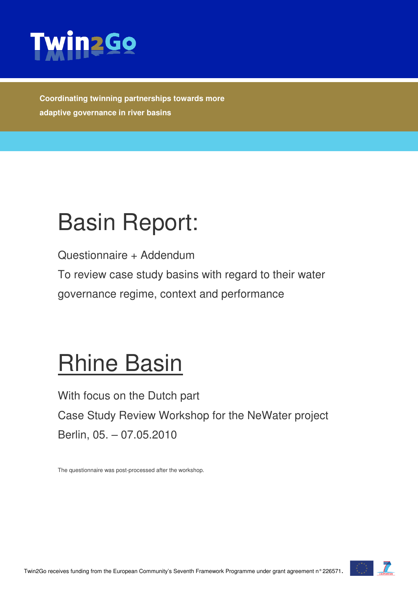

**Coordinating twinning partnerships towards more adaptive governance in river basins** 

# Basin Report:

Questionnaire + Addendum

To review case study basins with regard to their water governance regime, context and performance

# Rhine Basin

With focus on the Dutch part Case Study Review Workshop for the NeWater project Berlin, 05. – 07.05.2010

The questionnaire was post-processed after the workshop.

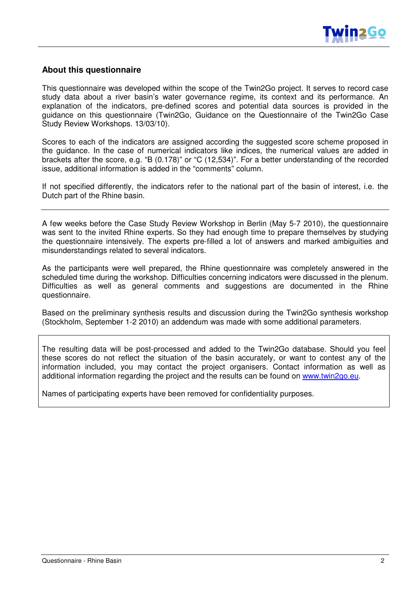

### **About this questionnaire**

This questionnaire was developed within the scope of the Twin2Go project. It serves to record case study data about a river basin's water governance regime, its context and its performance. An explanation of the indicators, pre-defined scores and potential data sources is provided in the guidance on this questionnaire (Twin2Go, Guidance on the Questionnaire of the Twin2Go Case Study Review Workshops. 13/03/10).

Scores to each of the indicators are assigned according the suggested score scheme proposed in the guidance. In the case of numerical indicators like indices, the numerical values are added in brackets after the score, e.g. "B (0.178)" or "C (12,534)". For a better understanding of the recorded issue, additional information is added in the "comments" column.

If not specified differently, the indicators refer to the national part of the basin of interest, i.e. the Dutch part of the Rhine basin.

A few weeks before the Case Study Review Workshop in Berlin (May 5-7 2010), the questionnaire was sent to the invited Rhine experts. So they had enough time to prepare themselves by studying the questionnaire intensively. The experts pre-filled a lot of answers and marked ambiguities and misunderstandings related to several indicators.

As the participants were well prepared, the Rhine questionnaire was completely answered in the scheduled time during the workshop. Difficulties concerning indicators were discussed in the plenum. Difficulties as well as general comments and suggestions are documented in the Rhine questionnaire.

Based on the preliminary synthesis results and discussion during the Twin2Go synthesis workshop (Stockholm, September 1-2 2010) an addendum was made with some additional parameters.

The resulting data will be post-processed and added to the Twin2Go database. Should you feel these scores do not reflect the situation of the basin accurately, or want to contest any of the information included, you may contact the project organisers. Contact information as well as additional information regarding the project and the results can be found on www.twin2go.eu.

Names of participating experts have been removed for confidentiality purposes.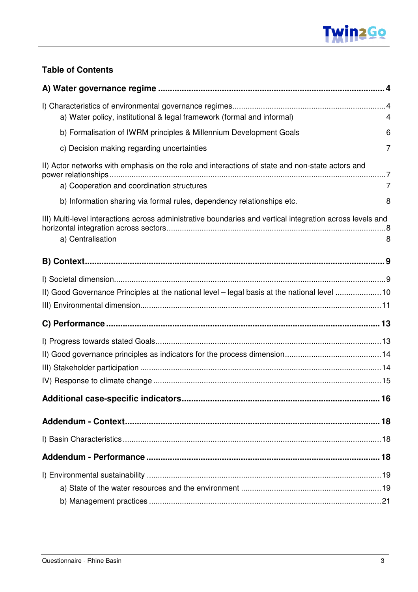

## **Table of Contents**

| a) Water policy, institutional & legal framework (formal and informal)                                    | 4 |
|-----------------------------------------------------------------------------------------------------------|---|
| b) Formalisation of IWRM principles & Millennium Development Goals                                        | 6 |
| c) Decision making regarding uncertainties                                                                | 7 |
| II) Actor networks with emphasis on the role and interactions of state and non-state actors and           |   |
| a) Cooperation and coordination structures                                                                | 7 |
| b) Information sharing via formal rules, dependency relationships etc.                                    | 8 |
| III) Multi-level interactions across administrative boundaries and vertical integration across levels and |   |
| a) Centralisation                                                                                         | 8 |
|                                                                                                           |   |
|                                                                                                           |   |
| II) Good Governance Principles at the national level - legal basis at the national level 10               |   |
|                                                                                                           |   |
|                                                                                                           |   |
|                                                                                                           |   |
|                                                                                                           |   |
|                                                                                                           |   |
|                                                                                                           |   |
|                                                                                                           |   |
|                                                                                                           |   |
|                                                                                                           |   |
|                                                                                                           |   |
|                                                                                                           |   |
|                                                                                                           |   |
|                                                                                                           |   |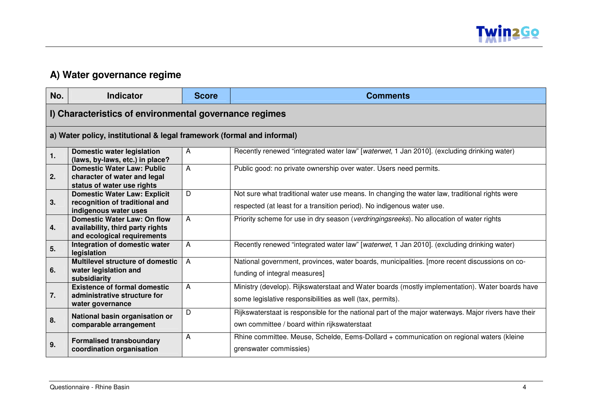

# **A) Water governance regime**

| No. | <b>Indicator</b>                                                                                | <b>Score</b>   | <b>Comments</b>                                                                                                                                                         |  |
|-----|-------------------------------------------------------------------------------------------------|----------------|-------------------------------------------------------------------------------------------------------------------------------------------------------------------------|--|
|     | I) Characteristics of environmental governance regimes                                          |                |                                                                                                                                                                         |  |
|     | a) Water policy, institutional & legal framework (formal and informal)                          |                |                                                                                                                                                                         |  |
| 1.  | <b>Domestic water legislation</b><br>(laws, by-laws, etc.) in place?                            | $\mathsf{A}$   | Recently renewed "integrated water law" [waterwet, 1 Jan 2010]. (excluding drinking water)                                                                              |  |
| 2.  | <b>Domestic Water Law: Public</b><br>character of water and legal<br>status of water use rights | A              | Public good: no private ownership over water. Users need permits.                                                                                                       |  |
| 3.  | Domestic Water Law: Explicit<br>recognition of traditional and<br>indigenous water uses         | D              | Not sure what traditional water use means. In changing the water law, traditional rights were<br>respected (at least for a transition period). No indigenous water use. |  |
| 4.  | Domestic Water Law: On flow<br>availability, third party rights<br>and ecological requirements  | $\overline{A}$ | Priority scheme for use in dry season (verdringingsreeks). No allocation of water rights                                                                                |  |
| 5.  | Integration of domestic water<br>legislation                                                    | A              | Recently renewed "integrated water law" [waterwet, 1 Jan 2010]. (excluding drinking water)                                                                              |  |
| 6.  | <b>Multilevel structure of domestic</b><br>water legislation and<br>subsidiarity                | $\overline{A}$ | National government, provinces, water boards, municipalities. [more recent discussions on co-<br>funding of integral measures]                                          |  |
| 7.  | <b>Existence of formal domestic</b><br>administrative structure for<br>water governance         | A              | Ministry (develop). Rijkswaterstaat and Water boards (mostly implementation). Water boards have<br>some legislative responsibilities as well (tax, permits).            |  |
| 8.  | National basin organisation or<br>comparable arrangement                                        | D              | Rijkswaterstaat is responsible for the national part of the major waterways. Major rivers have their<br>own committee / board within rijkswaterstaat                    |  |
| 9.  | <b>Formalised transboundary</b><br>coordination organisation                                    | A              | Rhine committee. Meuse, Schelde, Eems-Dollard + communication on regional waters (kleine<br>grenswater commissies)                                                      |  |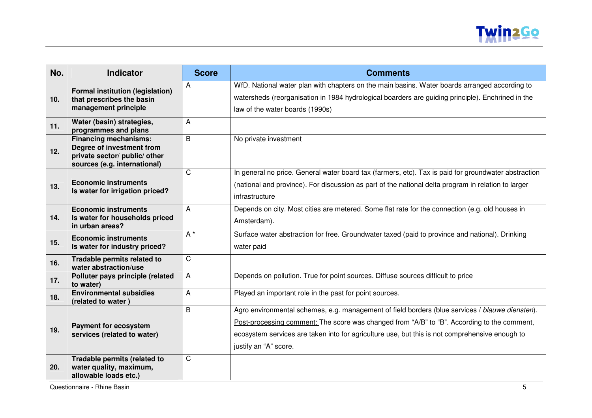

| No.             | <b>Indicator</b>                                                                                                           | <b>Score</b> | <b>Comments</b>                                                                                                                                                                                                                                                                                                           |
|-----------------|----------------------------------------------------------------------------------------------------------------------------|--------------|---------------------------------------------------------------------------------------------------------------------------------------------------------------------------------------------------------------------------------------------------------------------------------------------------------------------------|
| 10 <sub>1</sub> | <b>Formal institution (legislation)</b><br>that prescribes the basin<br>management principle                               | A            | WfD. National water plan with chapters on the main basins. Water boards arranged according to<br>watersheds (reorganisation in 1984 hydrological boarders are guiding principle). Enchrined in the<br>law of the water boards (1990s)                                                                                     |
| 11.             | Water (basin) strategies,<br>programmes and plans                                                                          | $\mathsf{A}$ |                                                                                                                                                                                                                                                                                                                           |
| 12.             | <b>Financing mechanisms:</b><br>Degree of investment from<br>private sector/ public/ other<br>sources (e.g. international) | B            | No private investment                                                                                                                                                                                                                                                                                                     |
| 13.             | <b>Economic instruments</b><br>Is water for irrigation priced?                                                             | $\mathsf{C}$ | In general no price. General water board tax (farmers, etc). Tax is paid for groundwater abstraction<br>(national and province). For discussion as part of the national delta program in relation to larger<br>infrastructure                                                                                             |
| 14.             | <b>Economic instruments</b><br>Is water for households priced<br>in urban areas?                                           | A            | Depends on city. Most cities are metered. Some flat rate for the connection (e.g. old houses in<br>Amsterdam).                                                                                                                                                                                                            |
| 15.             | <b>Economic instruments</b><br>Is water for industry priced?                                                               | $A^*$        | Surface water abstraction for free. Groundwater taxed (paid to province and national). Drinking<br>water paid                                                                                                                                                                                                             |
| 16.             | Tradable permits related to<br>water abstraction/use                                                                       | $\mathsf{C}$ |                                                                                                                                                                                                                                                                                                                           |
| 17.             | Polluter pays principle (related<br>to water)                                                                              | A            | Depends on pollution. True for point sources. Diffuse sources difficult to price                                                                                                                                                                                                                                          |
| 18.             | <b>Environmental subsidies</b><br>(related to water)                                                                       | A            | Played an important role in the past for point sources.                                                                                                                                                                                                                                                                   |
| 19.             | <b>Payment for ecosystem</b><br>services (related to water)                                                                | B            | Agro environmental schemes, e.g. management of field borders (blue services / blauwe diensten).<br>Post-processing comment: The score was changed from "A/B" to "B". According to the comment,<br>ecosystem services are taken into for agriculture use, but this is not comprehensive enough to<br>justify an "A" score. |
| 20.             | Tradable permits (related to<br>water quality, maximum,<br>allowable loads etc.)                                           | $\mathsf C$  |                                                                                                                                                                                                                                                                                                                           |

Questionnaire - Rhine Basin 5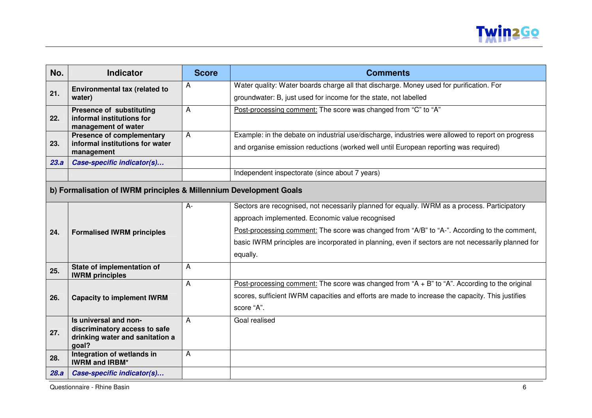

| No.  | <b>Indicator</b>                                                   | <b>Score</b> | <b>Comments</b>                                                                                     |
|------|--------------------------------------------------------------------|--------------|-----------------------------------------------------------------------------------------------------|
|      | Environmental tax (related to                                      | Α            | Water quality: Water boards charge all that discharge. Money used for purification. For             |
| 21.  | water)                                                             |              | groundwater: B, just used for income for the state, not labelled                                    |
|      | <b>Presence of substituting</b>                                    | A            | Post-processing comment: The score was changed from "C" to "A"                                      |
| 22.  | informal institutions for<br>management of water                   |              |                                                                                                     |
|      | <b>Presence of complementary</b>                                   | A            | Example: in the debate on industrial use/discharge, industries were allowed to report on progress   |
| 23.  | informal institutions for water<br>management                      |              | and organise emission reductions (worked well until European reporting was required)                |
| 23.a | Case-specific indicator(s)                                         |              |                                                                                                     |
|      |                                                                    |              | Independent inspectorate (since about 7 years)                                                      |
|      | b) Formalisation of IWRM principles & Millennium Development Goals |              |                                                                                                     |
|      |                                                                    | $A -$        | Sectors are recognised, not necessarily planned for equally. IWRM as a process. Participatory       |
|      |                                                                    |              | approach implemented. Economic value recognised                                                     |
| 24.  | <b>Formalised IWRM principles</b>                                  |              | Post-processing comment: The score was changed from "A/B" to "A-". According to the comment,        |
|      |                                                                    |              | basic IWRM principles are incorporated in planning, even if sectors are not necessarily planned for |
|      |                                                                    |              | equally.                                                                                            |
| 25.  | State of implementation of<br><b>IWRM</b> principles               | A            |                                                                                                     |
|      |                                                                    | A            | Post-processing comment: The score was changed from " $A + B$ " to "A". According to the original   |
| 26.  | <b>Capacity to implement IWRM</b>                                  |              | scores, sufficient IWRM capacities and efforts are made to increase the capacity. This justifies    |
|      |                                                                    |              | score "A".                                                                                          |
|      | Is universal and non-                                              | A            | Goal realised                                                                                       |
| 27.  | discriminatory access to safe<br>drinking water and sanitation a   |              |                                                                                                     |
|      | goal?                                                              |              |                                                                                                     |
| 28.  | Integration of wetlands in<br><b>IWRM and IRBM*</b>                | А            |                                                                                                     |
| 28.a | Case-specific indicator(s)                                         |              |                                                                                                     |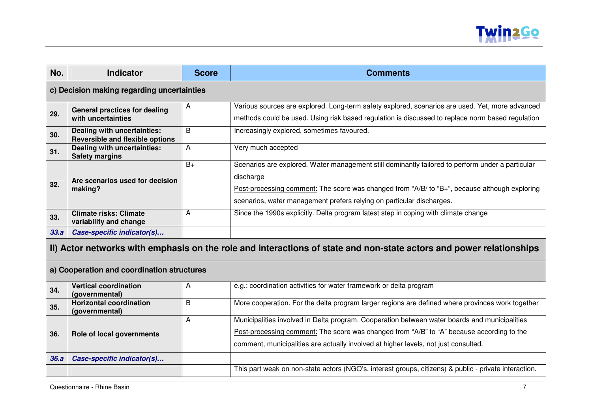

| No.                                        | <b>Indicator</b>                                                                                                    | <b>Score</b> | <b>Comments</b>                                                                                       |  |
|--------------------------------------------|---------------------------------------------------------------------------------------------------------------------|--------------|-------------------------------------------------------------------------------------------------------|--|
|                                            | c) Decision making regarding uncertainties                                                                          |              |                                                                                                       |  |
|                                            | <b>General practices for dealing</b>                                                                                | A            | Various sources are explored. Long-term safety explored, scenarios are used. Yet, more advanced       |  |
| 29.                                        | with uncertainties                                                                                                  |              | methods could be used. Using risk based regulation is discussed to replace norm based regulation      |  |
| 30.                                        | Dealing with uncertainties:<br><b>Reversible and flexible options</b>                                               | B            | Increasingly explored, sometimes favoured.                                                            |  |
| 31.                                        | Dealing with uncertainties:<br><b>Safety margins</b>                                                                | A            | Very much accepted                                                                                    |  |
|                                            |                                                                                                                     | $B+$         | Scenarios are explored. Water management still dominantly tailored to perform under a particular      |  |
| 32.                                        | Are scenarios used for decision                                                                                     |              | discharge                                                                                             |  |
|                                            | making?                                                                                                             |              | Post-processing comment: The score was changed from "A/B/ to "B+", because although exploring         |  |
|                                            |                                                                                                                     |              | scenarios, water management prefers relying on particular discharges.                                 |  |
| 33.                                        | <b>Climate risks: Climate</b><br>variability and change                                                             | A            | Since the 1990s explicitly. Delta program latest step in coping with climate change                   |  |
| 33.a                                       | Case-specific indicator(s)                                                                                          |              |                                                                                                       |  |
|                                            | II) Actor networks with emphasis on the role and interactions of state and non-state actors and power relationships |              |                                                                                                       |  |
| a) Cooperation and coordination structures |                                                                                                                     |              |                                                                                                       |  |
| 34.                                        | <b>Vertical coordination</b><br>(governmental)                                                                      | A            | e.g.: coordination activities for water framework or delta program                                    |  |
| 35.                                        | <b>Horizontal coordination</b><br>(governmental)                                                                    | B            | More cooperation. For the delta program larger regions are defined where provinces work together      |  |
|                                            |                                                                                                                     | A            | Municipalities involved in Delta program. Cooperation between water boards and municipalities         |  |
| 36.                                        | Role of local governments                                                                                           |              | Post-processing comment: The score was changed from "A/B" to "A" because according to the             |  |
|                                            |                                                                                                                     |              | comment, municipalities are actually involved at higher levels, not just consulted.                   |  |
| 36.a                                       | Case-specific indicator(s)                                                                                          |              |                                                                                                       |  |
|                                            |                                                                                                                     |              | This part weak on non-state actors (NGO's, interest groups, citizens) & public - private interaction. |  |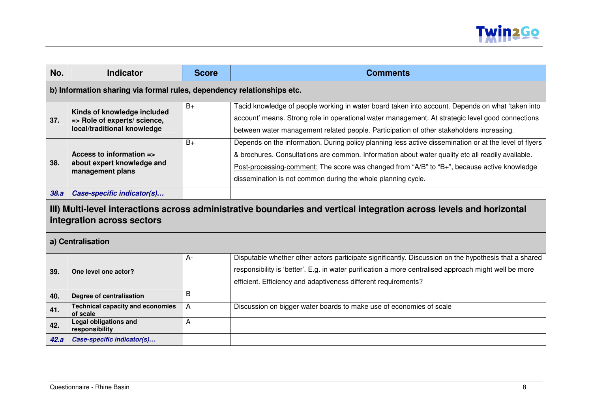

| No.  | <b>Indicator</b>                                                                                                                                   | <b>Score</b> | <b>Comments</b>                                                                                                                                                                                                                                                                                                                                                            |  |
|------|----------------------------------------------------------------------------------------------------------------------------------------------------|--------------|----------------------------------------------------------------------------------------------------------------------------------------------------------------------------------------------------------------------------------------------------------------------------------------------------------------------------------------------------------------------------|--|
|      | b) Information sharing via formal rules, dependency relationships etc.                                                                             |              |                                                                                                                                                                                                                                                                                                                                                                            |  |
| 37.  | Kinds of knowledge included<br>=> Role of experts/ science,<br>local/traditional knowledge                                                         | $B+$         | Tacid knowledge of people working in water board taken into account. Depends on what 'taken into<br>account' means. Strong role in operational water management. At strategic level good connections<br>between water management related people. Participation of other stakeholders increasing.                                                                           |  |
| 38.  | Access to information $\equiv$<br>about expert knowledge and<br>management plans                                                                   | $B+$         | Depends on the information. During policy planning less active dissemination or at the level of flyers<br>& brochures. Consultations are common. Information about water quality etc all readily available.<br>Post-processing-comment: The score was changed from "A/B" to "B+", because active knowledge<br>dissemination is not common during the whole planning cycle. |  |
| 38.a | Case-specific indicator(s)                                                                                                                         |              |                                                                                                                                                                                                                                                                                                                                                                            |  |
|      | III) Multi-level interactions across administrative boundaries and vertical integration across levels and horizontal<br>integration across sectors |              |                                                                                                                                                                                                                                                                                                                                                                            |  |
|      | a) Centralisation                                                                                                                                  |              |                                                                                                                                                                                                                                                                                                                                                                            |  |
| 39.  | One level one actor?                                                                                                                               | $A -$        | Disputable whether other actors participate significantly. Discussion on the hypothesis that a shared<br>responsibility is 'better'. E.g. in water purification a more centralised approach might well be more<br>efficient. Efficiency and adaptiveness different requirements?                                                                                           |  |
| 40.  | Degree of centralisation                                                                                                                           | B            |                                                                                                                                                                                                                                                                                                                                                                            |  |
| 41.  | <b>Technical capacity and economies</b><br>of scale                                                                                                | Α            | Discussion on bigger water boards to make use of economies of scale                                                                                                                                                                                                                                                                                                        |  |
| 42.  | <b>Legal obligations and</b><br>responsibility                                                                                                     | A            |                                                                                                                                                                                                                                                                                                                                                                            |  |
| 42.a | Case-specific indicator(s)                                                                                                                         |              |                                                                                                                                                                                                                                                                                                                                                                            |  |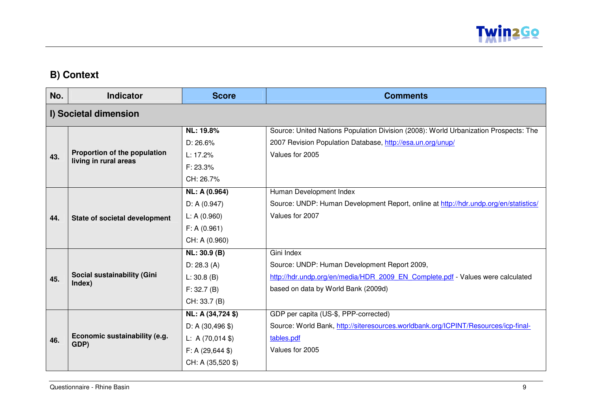

# **B) Context**

| No. | <b>Indicator</b>                                      | <b>Score</b>                                  | <b>Comments</b>                                                                      |  |  |
|-----|-------------------------------------------------------|-----------------------------------------------|--------------------------------------------------------------------------------------|--|--|
|     | I) Societal dimension                                 |                                               |                                                                                      |  |  |
|     |                                                       | <b>NL: 19.8%</b>                              | Source: United Nations Population Division (2008): World Urbanization Prospects: The |  |  |
|     |                                                       | D: 26.6%                                      | 2007 Revision Population Database, http://esa.un.org/unup/                           |  |  |
| 43. | Proportion of the population<br>living in rural areas | L: 17.2%                                      | Values for 2005                                                                      |  |  |
|     |                                                       | F: 23.3%                                      |                                                                                      |  |  |
|     |                                                       | CH: 26.7%                                     |                                                                                      |  |  |
|     |                                                       | NL: A (0.964)                                 | Human Development Index                                                              |  |  |
|     |                                                       | D: A (0.947)                                  | Source: UNDP: Human Development Report, online at http://hdr.undp.org/en/statistics/ |  |  |
| 44. | State of societal development                         | L: A (0.960)                                  | Values for 2007                                                                      |  |  |
|     |                                                       | F: A (0.961)                                  |                                                                                      |  |  |
|     |                                                       | CH: A (0.960)                                 |                                                                                      |  |  |
|     |                                                       | NL: 30.9 (B)                                  | Gini Index                                                                           |  |  |
|     |                                                       | D: 28.3 (A)                                   | Source: UNDP: Human Development Report 2009,                                         |  |  |
| 45. | Social sustainability (Gini<br>Index)                 | L: 30.8 (B)                                   | http://hdr.undp.org/en/media/HDR 2009 EN Complete.pdf - Values were calculated       |  |  |
|     |                                                       | F: 32.7(B)                                    | based on data by World Bank (2009d)                                                  |  |  |
|     |                                                       | CH: 33.7 (B)                                  |                                                                                      |  |  |
|     |                                                       | NL: A (34,724 \$)                             | GDP per capita (US-\$, PPP-corrected)                                                |  |  |
|     |                                                       | $D: A(30, 496 \text{ $})$                     | Source: World Bank, http://siteresources.worldbank.org/ICPINT/Resources/icp-final-   |  |  |
| 46. | Economic sustainability (e.g.                         | L: A $(70,014 \text{ } \text{\textsterling})$ | tables.pdf                                                                           |  |  |
|     | GDP)                                                  | $F: A (29,644 \text{ } \text{\textsterling})$ | Values for 2005                                                                      |  |  |
|     |                                                       | CH: A (35,520 \$)                             |                                                                                      |  |  |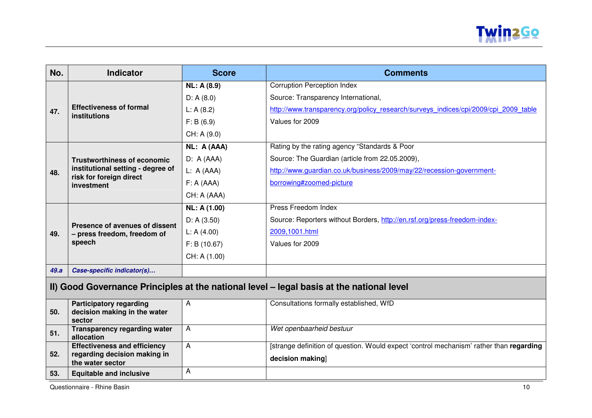

| No.  | <b>Indicator</b>                                                           | <b>Score</b>        | <b>Comments</b>                                                                     |
|------|----------------------------------------------------------------------------|---------------------|-------------------------------------------------------------------------------------|
|      |                                                                            | <b>NL: A (8.9)</b>  | <b>Corruption Perception Index</b>                                                  |
|      |                                                                            | D: A(8.0)           | Source: Transparency International,                                                 |
| 47.  | <b>Effectiveness of formal</b><br>institutions                             | L: A(8.2)           | http://www.transparency.org/policy research/surveys indices/cpi/2009/cpi 2009 table |
|      |                                                                            | F: B(6.9)           | Values for 2009                                                                     |
|      |                                                                            | CH: A (9.0)         |                                                                                     |
|      |                                                                            | NL: A (AAA)         | Rating by the rating agency "Standards & Poor                                       |
|      | <b>Trustworthiness of economic</b>                                         | D: A(AAA)           | Source: The Guardian (article from 22.05.2009),                                     |
| 48.  | institutional setting - degree of<br>risk for foreign direct<br>investment | L: A (AAA)          | http://www.guardian.co.uk/business/2009/may/22/recession-government-                |
|      |                                                                            | F: A (AAA)          | borrowing#zoomed-picture                                                            |
|      |                                                                            | CH: A (AAA)         |                                                                                     |
|      |                                                                            | <b>NL: A (1.00)</b> | Press Freedom Index                                                                 |
|      | Presence of avenues of dissent                                             | D: A(3.50)          | Source: Reporters without Borders, http://en.rsf.org/press-freedom-index-           |
| 49.  | - press freedom, freedom of                                                | L: A $(4.00)$       | 2009,1001.html                                                                      |
|      | speech                                                                     | F: B(10.67)         | Values for 2009                                                                     |
|      |                                                                            | CH: A (1.00)        |                                                                                     |
| 49.a | Case-specific indicator(s)                                                 |                     |                                                                                     |

# **II) Good Governance Principles at the national level – legal basis at the national level**

|     | <b>Participatory regarding</b>      |                | Consultations formally established, WfD                                                 |
|-----|-------------------------------------|----------------|-----------------------------------------------------------------------------------------|
| 50. | decision making in the water        |                |                                                                                         |
|     | sector                              |                |                                                                                         |
| 51. | <b>Transparency regarding water</b> | $\overline{A}$ | Wet openbaarheid bestuur                                                                |
|     | allocation                          |                |                                                                                         |
|     | <b>Effectiveness and efficiency</b> | $\overline{A}$ | [strange definition of question. Would expect 'control mechanism' rather than regarding |
| 52. | regarding decision making in        |                |                                                                                         |
|     | the water sector                    |                | decision making                                                                         |
| 53. | <b>Equitable and inclusive</b>      |                |                                                                                         |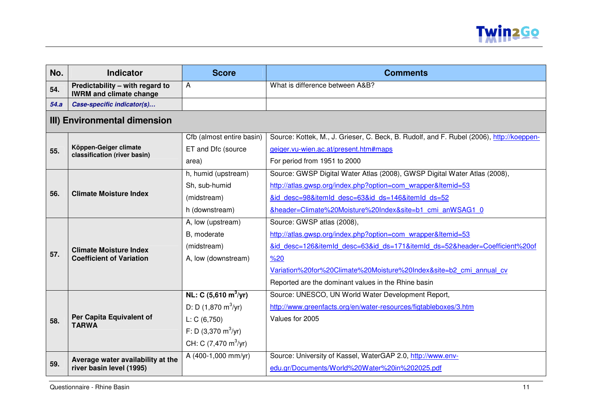

| No.  | <b>Indicator</b>                                                  | <b>Score</b>                          | <b>Comments</b>                                                                          |
|------|-------------------------------------------------------------------|---------------------------------------|------------------------------------------------------------------------------------------|
| 54.  | Predictability – with regard to<br><b>IWRM and climate change</b> | A                                     | What is difference between A&B?                                                          |
| 54.a | Case-specific indicator(s)                                        |                                       |                                                                                          |
|      | III) Environmental dimension                                      |                                       |                                                                                          |
|      |                                                                   | Cfb (almost entire basin)             | Source: Kottek, M., J. Grieser, C. Beck, B. Rudolf, and F. Rubel (2006), http://koeppen- |
| 55.  | Köppen-Geiger climate<br>classification (river basin)             | ET and Dfc (source                    | geiger.vu-wien.ac.at/present.htm#maps                                                    |
|      |                                                                   | area)                                 | For period from 1951 to 2000                                                             |
|      |                                                                   | h, humid (upstream)                   | Source: GWSP Digital Water Atlas (2008), GWSP Digital Water Atlas (2008),                |
|      |                                                                   | Sh, sub-humid                         | http://atlas.gwsp.org/index.php?option=com wrapper&Itemid=53                             |
| 56.  | <b>Climate Moisture Index</b>                                     | (midstream)                           | &id desc=98&itemId desc=63&id ds=146&itemId ds=52                                        |
|      |                                                                   | h (downstream)                        | &header=Climate%20Moisture%20Index&site=b1 cmi anWSAG1 0                                 |
|      | <b>Climate Moisture Index</b>                                     | A, low (upstream)                     | Source: GWSP atlas (2008),                                                               |
|      |                                                                   | B, moderate                           | http://atlas.gwsp.org/index.php?option=com_wrapper&Itemid=53                             |
|      |                                                                   | (midstream)                           | &id desc=126&itemId desc=63&id ds=171&itemId ds=52&header=Coefficient%20of               |
| 57.  | <b>Coefficient of Variation</b>                                   | A, low (downstream)                   | %20                                                                                      |
|      |                                                                   |                                       | Variation%20for%20Climate%20Moisture%20Index&site=b2 cmi annual cv                       |
|      |                                                                   |                                       | Reported are the dominant values in the Rhine basin                                      |
|      |                                                                   | NL: C $(5,610 \text{ m}^3/\text{yr})$ | Source: UNESCO, UN World Water Development Report,                                       |
|      |                                                                   | D: D $(1,870 \text{ m}^3/\text{yr})$  | http://www.greenfacts.org/en/water-resources/figtableboxes/3.htm                         |
| 58.  | Per Capita Equivalent of<br><b>TARWA</b>                          | L: C(6, 750)                          | Values for 2005                                                                          |
|      |                                                                   | F: D $(3,370 \text{ m}^3/\text{yr})$  |                                                                                          |
|      |                                                                   | CH: C $(7,470 \text{ m}^3/\text{yr})$ |                                                                                          |
|      | Average water availability at the                                 | A (400-1,000 mm/yr)                   | Source: University of Kassel, WaterGAP 2.0, http://www.env-                              |
| 59.  | river basin level (1995)                                          |                                       | edu.gr/Documents/World%20Water%20in%202025.pdf                                           |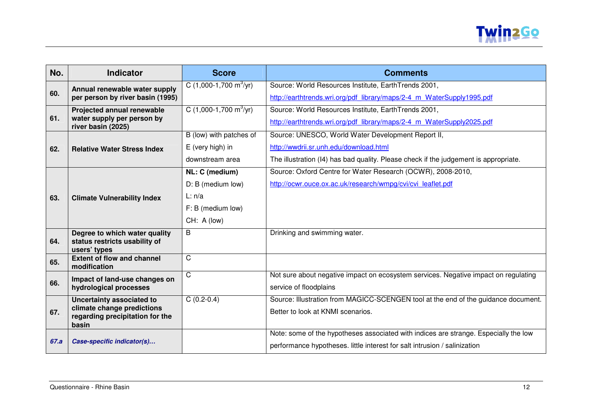

| No.  | <b>Indicator</b>                                                       | <b>Score</b>                            | <b>Comments</b>                                                                      |
|------|------------------------------------------------------------------------|-----------------------------------------|--------------------------------------------------------------------------------------|
|      | Annual renewable water supply                                          | C $(1,000-1,700 \text{ m}^3/\text{yr})$ | Source: World Resources Institute, EarthTrends 2001,                                 |
| 60.  | per person by river basin (1995)                                       |                                         | http://earthtrends.wri.org/pdf library/maps/2-4 m WaterSupply1995.pdf                |
|      | Projected annual renewable                                             | C $(1,000-1,700 \text{ m}^3/\text{yr})$ | Source: World Resources Institute, EarthTrends 2001,                                 |
| 61.  | water supply per person by<br>river basin (2025)                       |                                         | http://earthtrends.wri.org/pdf library/maps/2-4 m WaterSupply2025.pdf                |
|      |                                                                        | B (low) with patches of                 | Source: UNESCO, World Water Development Report II,                                   |
| 62.  | <b>Relative Water Stress Index</b>                                     | E (very high) in                        | http://wwdrii.sr.unh.edu/download.html                                               |
|      |                                                                        | downstream area                         | The illustration (I4) has bad quality. Please check if the judgement is appropriate. |
|      |                                                                        | NL: C (medium)                          | Source: Oxford Centre for Water Research (OCWR), 2008-2010,                          |
|      |                                                                        | D: B (medium low)                       | http://ocwr.ouce.ox.ac.uk/research/wmpg/cvi/cvi leaflet.pdf                          |
| 63.  | <b>Climate Vulnerability Index</b>                                     | L: n/a                                  |                                                                                      |
|      |                                                                        | $F: B$ (medium low)                     |                                                                                      |
|      |                                                                        | CH: A (low)                             |                                                                                      |
|      | Degree to which water quality                                          | B                                       | Drinking and swimming water.                                                         |
| 64.  | status restricts usability of<br>users' types                          |                                         |                                                                                      |
| 65.  | <b>Extent of flow and channel</b><br>modification                      | $\overline{\text{C}}$                   |                                                                                      |
|      | Impact of land-use changes on                                          | $\mathsf{C}$                            | Not sure about negative impact on ecosystem services. Negative impact on regulating  |
| 66.  | hydrological processes                                                 |                                         | service of floodplains                                                               |
|      | Uncertainty associated to                                              | $C(0.2-0.4)$                            | Source: Illustration from MAGICC-SCENGEN tool at the end of the guidance document.   |
| 67.  | climate change predictions<br>regarding precipitation for the<br>basin |                                         | Better to look at KNMI scenarios.                                                    |
|      |                                                                        |                                         | Note: some of the hypotheses associated with indices are strange. Especially the low |
| 67.a | Case-specific indicator(s)                                             |                                         | performance hypotheses. little interest for salt intrusion / salinization            |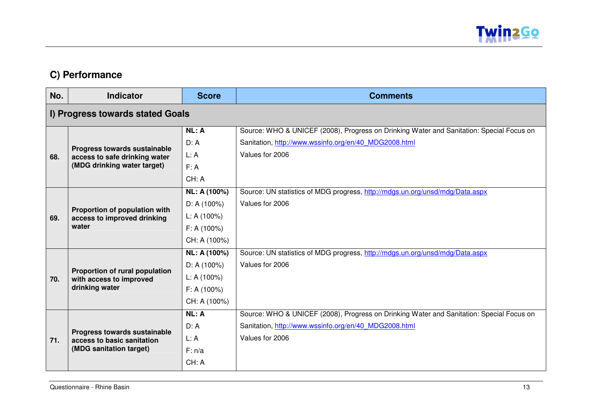

# **C) Performance**

| No.                              | <b>Indicator</b>                                           | <b>Score</b> | <b>Comments</b>                                                                          |
|----------------------------------|------------------------------------------------------------|--------------|------------------------------------------------------------------------------------------|
| I) Progress towards stated Goals |                                                            |              |                                                                                          |
|                                  |                                                            | NL: A        | Source: WHO & UNICEF (2008), Progress on Drinking Water and Sanitation: Special Focus on |
|                                  | Progress towards sustainable                               | D: A         | Sanitation, http://www.wssinfo.org/en/40 MDG2008.html                                    |
| 68.                              | access to safe drinking water                              | L: A         | Values for 2006                                                                          |
|                                  | (MDG drinking water target)                                | F: A         |                                                                                          |
|                                  |                                                            | CH: A        |                                                                                          |
|                                  |                                                            | NL: A (100%) | Source: UN statistics of MDG progress, http://mdgs.un.org/unsd/mdg/Data.aspx             |
|                                  | Proportion of population with                              | D: A(100%)   | Values for 2006                                                                          |
| 69.                              | access to improved drinking<br>water                       | L: A(100%)   |                                                                                          |
|                                  |                                                            | F: A(100%)   |                                                                                          |
|                                  |                                                            | CH: A (100%) |                                                                                          |
|                                  |                                                            | NL: A (100%) | Source: UN statistics of MDG progress, http://mdgs.un.org/unsd/mdg/Data.aspx             |
|                                  |                                                            | D: A(100%)   | Values for 2006                                                                          |
| 70.                              | Proportion of rural population<br>with access to improved  | L: A(100%)   |                                                                                          |
|                                  | drinking water                                             | F: A(100%)   |                                                                                          |
|                                  |                                                            | CH: A (100%) |                                                                                          |
|                                  |                                                            | NL: A        | Source: WHO & UNICEF (2008), Progress on Drinking Water and Sanitation: Special Focus on |
|                                  |                                                            | D: A         | Sanitation, http://www.wssinfo.org/en/40 MDG2008.html                                    |
| 71.                              | Progress towards sustainable<br>access to basic sanitation | L: A         | Values for 2006                                                                          |
|                                  | (MDG sanitation target)                                    | F: n/a       |                                                                                          |
|                                  |                                                            | CH: A        |                                                                                          |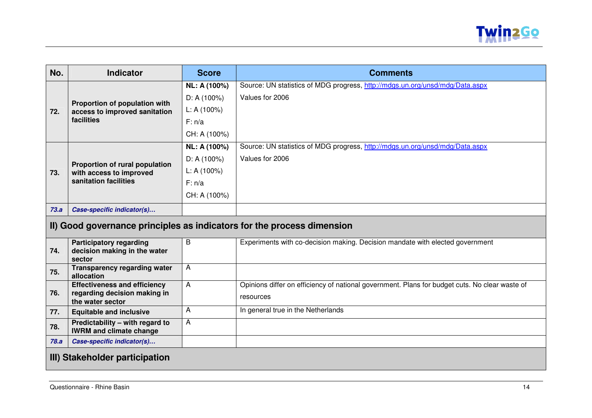

| No.  | <b>Indicator</b>                                                         | <b>Score</b> | <b>Comments</b>                                                                                |  |  |  |
|------|--------------------------------------------------------------------------|--------------|------------------------------------------------------------------------------------------------|--|--|--|
|      |                                                                          | NL: A (100%) | Source: UN statistics of MDG progress, http://mdgs.un.org/unsd/mdg/Data.aspx                   |  |  |  |
| 72.  | Proportion of population with                                            | D: A(100%)   | Values for 2006                                                                                |  |  |  |
|      | access to improved sanitation<br>facilities                              | L: A(100%)   |                                                                                                |  |  |  |
|      |                                                                          | F: n/a       |                                                                                                |  |  |  |
|      |                                                                          | CH: A (100%) |                                                                                                |  |  |  |
|      |                                                                          | NL: A (100%) | Source: UN statistics of MDG progress, http://mdgs.un.org/unsd/mdg/Data.aspx                   |  |  |  |
|      |                                                                          | D: A(100%)   | Values for 2006                                                                                |  |  |  |
| 73.  | Proportion of rural population<br>with access to improved                | L: A(100%)   |                                                                                                |  |  |  |
|      | sanitation facilities                                                    | F: n/a       |                                                                                                |  |  |  |
|      |                                                                          | CH: A (100%) |                                                                                                |  |  |  |
| 73.a | Case-specific indicator(s)                                               |              |                                                                                                |  |  |  |
|      | II) Good governance principles as indicators for the process dimension   |              |                                                                                                |  |  |  |
| 74.  | <b>Participatory regarding</b><br>decision making in the water<br>sector | В            | Experiments with co-decision making. Decision mandate with elected government                  |  |  |  |
| 75.  | <b>Transparency regarding water</b><br>allocation                        | A            |                                                                                                |  |  |  |
| 76.  | <b>Effectiveness and efficiency</b><br>regarding decision making in      | A            | Opinions differ on efficiency of national government. Plans for budget cuts. No clear waste of |  |  |  |
|      | the water sector                                                         |              | resources                                                                                      |  |  |  |
| 77.  | <b>Equitable and inclusive</b>                                           | A            | In general true in the Netherlands                                                             |  |  |  |
| 78.  | Predictability - with regard to<br><b>IWRM and climate change</b>        | A            |                                                                                                |  |  |  |
| 78.a | Case-specific indicator(s)                                               |              |                                                                                                |  |  |  |
|      | III) Stakeholder participation                                           |              |                                                                                                |  |  |  |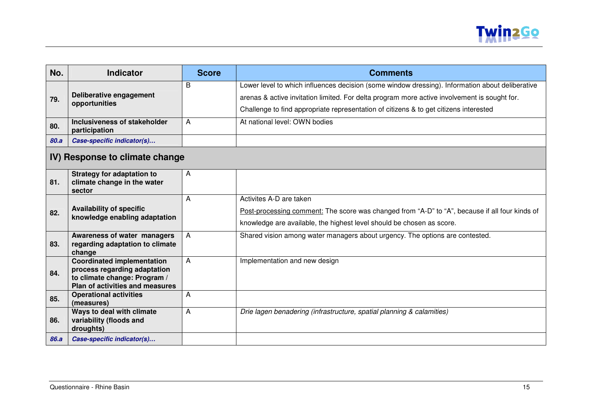

| No.                            | <b>Indicator</b>                                                                                                                     | <b>Score</b> | <b>Comments</b>                                                                                                                                                                                                                                                                          |  |  |
|--------------------------------|--------------------------------------------------------------------------------------------------------------------------------------|--------------|------------------------------------------------------------------------------------------------------------------------------------------------------------------------------------------------------------------------------------------------------------------------------------------|--|--|
| 79.                            | Deliberative engagement<br>opportunities                                                                                             | B            | Lower level to which influences decision (some window dressing). Information about deliberative<br>arenas & active invitation limited. For delta program more active involvement is sought for.<br>Challenge to find appropriate representation of citizens & to get citizens interested |  |  |
| 80.                            | Inclusiveness of stakeholder<br>participation                                                                                        | A            | At national level: OWN bodies                                                                                                                                                                                                                                                            |  |  |
| 80.a                           | Case-specific indicator(s)                                                                                                           |              |                                                                                                                                                                                                                                                                                          |  |  |
| IV) Response to climate change |                                                                                                                                      |              |                                                                                                                                                                                                                                                                                          |  |  |
| 81.                            | <b>Strategy for adaptation to</b><br>climate change in the water<br>sector                                                           | A            |                                                                                                                                                                                                                                                                                          |  |  |
| 82.                            | <b>Availability of specific</b><br>knowledge enabling adaptation                                                                     | A            | Activites A-D are taken<br>Post-processing comment: The score was changed from "A-D" to "A", because if all four kinds of<br>knowledge are available, the highest level should be chosen as score.                                                                                       |  |  |
| 83.                            | Awareness of water managers<br>regarding adaptation to climate<br>change                                                             | A            | Shared vision among water managers about urgency. The options are contested.                                                                                                                                                                                                             |  |  |
| 84.                            | <b>Coordinated implementation</b><br>process regarding adaptation<br>to climate change: Program /<br>Plan of activities and measures | A            | Implementation and new design                                                                                                                                                                                                                                                            |  |  |
| 85.                            | <b>Operational activities</b><br>(measures)                                                                                          | A            |                                                                                                                                                                                                                                                                                          |  |  |
| 86.                            | Ways to deal with climate<br>variability (floods and<br>droughts)                                                                    | A            | Drie lagen benadering (infrastructure, spatial planning & calamities)                                                                                                                                                                                                                    |  |  |
| 86.a                           | Case-specific indicator(s)                                                                                                           |              |                                                                                                                                                                                                                                                                                          |  |  |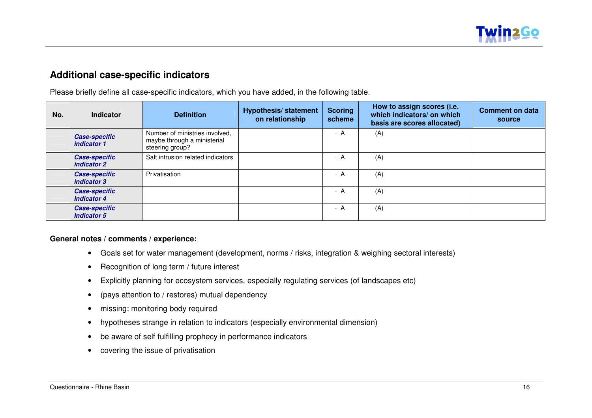

## **Additional case-specific indicators**

Please briefly define all case-specific indicators, which you have added, in the following table.

| No. | Indicator                                  | <b>Definition</b>                                                                | <b>Hypothesis/ statement</b><br>on relationship | <b>Scoring</b><br>scheme | How to assign scores (i.e.<br>which indicators/ on which<br>basis are scores allocated) | <b>Comment on data</b><br>source |
|-----|--------------------------------------------|----------------------------------------------------------------------------------|-------------------------------------------------|--------------------------|-----------------------------------------------------------------------------------------|----------------------------------|
|     | <b>Case-specific</b><br>indicator 1        | Number of ministries involved,<br>maybe through a ministerial<br>steering group? |                                                 | - A                      | (A)                                                                                     |                                  |
|     | <b>Case-specific</b><br>indicator 2        | Salt intrusion related indicators                                                |                                                 | - A                      | (A)                                                                                     |                                  |
|     | <b>Case-specific</b><br>indicator 3        | Privatisation                                                                    |                                                 | - A                      | (A)                                                                                     |                                  |
|     | <b>Case-specific</b><br><b>Indicator 4</b> |                                                                                  |                                                 | - A                      | (A)                                                                                     |                                  |
|     | <b>Case-specific</b><br><b>Indicator 5</b> |                                                                                  |                                                 | - A                      | (A)                                                                                     |                                  |

### **General notes / comments / experience:**

- Goals set for water management (development, norms / risks, integration & weighing sectoral interests)
- Recognition of long term / future interest
- Explicitly planning for ecosystem services, especially regulating services (of landscapes etc)
- (pays attention to / restores) mutual dependency
- missing: monitoring body required
- hypotheses strange in relation to indicators (especially environmental dimension)
- be aware of self fulfilling prophecy in performance indicators
- covering the issue of privatisation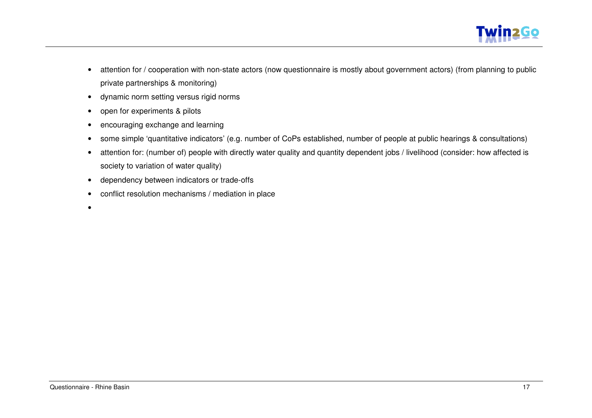

- attention for / cooperation with non-state actors (now questionnaire is mostly about government actors) (from planning to public private partnerships & monitoring)
- dynamic norm setting versus rigid norms
- open for experiments & pilots
- encouraging exchange and learning
- some simple 'quantitative indicators' (e.g. number of CoPs established, number of people at public hearings & consultations)
- attention for: (number of) people with directly water quality and quantity dependent jobs / livelihood (consider: how affected is society to variation of water quality)
- dependency between indicators or trade-offs
- conflict resolution mechanisms / mediation in place
- •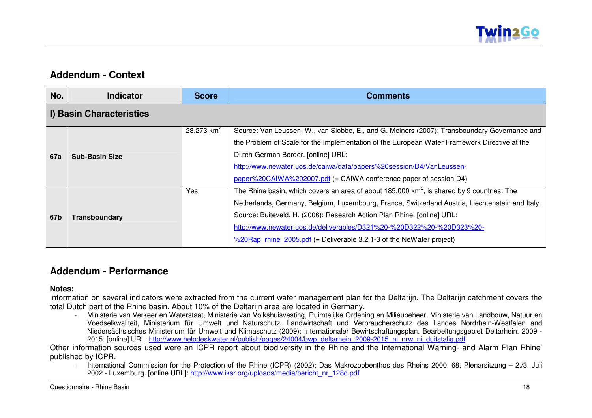

## **Addendum - Context**

| No.        | <b>Indicator</b>         | <b>Score</b>  | <b>Comments</b>                                                                                                                                                                                                                                                                                                                                                                                                                                                  |  |  |  |
|------------|--------------------------|---------------|------------------------------------------------------------------------------------------------------------------------------------------------------------------------------------------------------------------------------------------------------------------------------------------------------------------------------------------------------------------------------------------------------------------------------------------------------------------|--|--|--|
|            | I) Basin Characteristics |               |                                                                                                                                                                                                                                                                                                                                                                                                                                                                  |  |  |  |
| <b>67a</b> | <b>Sub-Basin Size</b>    | 28,273 $km^2$ | Source: Van Leussen, W., van Slobbe, E., and G. Meiners (2007): Transboundary Governance and<br>the Problem of Scale for the Implementation of the European Water Framework Directive at the<br>Dutch-German Border. [online] URL:<br>http://www.newater.uos.de/caiwa/data/papers%20session/D4/VanLeussen-<br>paper%20CAIWA%202007.pdf (= CAIWA conference paper of session D4)                                                                                  |  |  |  |
| 67b        | Transboundary            | Yes           | The Rhine basin, which covers an area of about 185,000 $km^2$ , is shared by 9 countries: The<br>Netherlands, Germany, Belgium, Luxembourg, France, Switzerland Austria, Liechtenstein and Italy.<br>Source: Buiteveld, H. (2006): Research Action Plan Rhine. [online] URL:<br>http://www.newater.uos.de/deliverables/D321%20-%20D322%20-%20D323%20-<br>$\frac{\%20 \text{Rap}}{\%20 \text{Rap}}$ rhine 2005.pdf (= Deliverable 3.2.1-3 of the NeWater project) |  |  |  |

### **Addendum - Performance**

**Notes:**

 Information on several indicators were extracted from the current water management plan for the Deltarijn. The Deltarijn catchment covers the total Dutch part of the Rhine basin. About 10% of the Deltarijn area are located in Germany.

- Ministerie van Verkeer en Waterstaat, Ministerie van Volkshuisvesting, Ruimtelijke Ordening en Milieubeheer, Ministerie van Landbouw, Natuur en Voedselkwaliteit, Ministerium für Umwelt und Naturschutz, Landwirtschaft und Verbraucherschutz des Landes Nordrhein-Westfalen and Niedersächsisches Ministerium für Umwelt und Klimaschutz (2009): Internationaler Bewirtschaftungsplan. Bearbeitungsgebiet Deltarhein. 2009 - 2015. [online] URL: http://www.helpdeskwater.nl/publish/pages/24004/bwp\_deltarhein\_2009-2015\_nl\_nrw\_ni\_duitstalig.pdf

 Other information sources used were an ICPR report about biodiversity in the Rhine and the International Warning- and Alarm Plan Rhine' published by ICPR.

- International Commission for the Protection of the Rhine (ICPR) (2002): Das Makrozoobenthos des Rheins 2000. 68. Plenarsitzung – 2./3. Juli 2002 - Luxemburg. [online URL]: http://www.iksr.org/uploads/media/bericht\_nr\_128d.pdf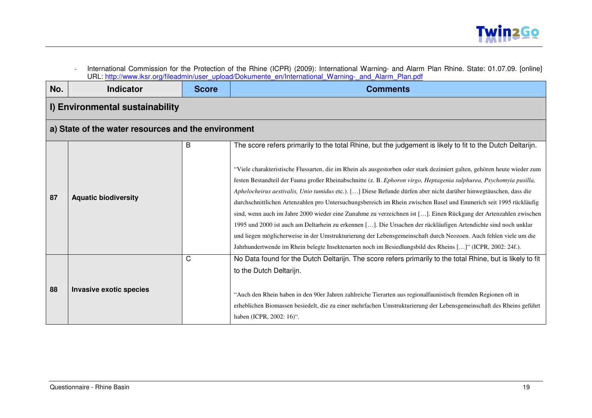| I) Environmental sustainability<br>a) State of the water resources and the environment | B |                                                                                                                                                                                                                                                                                                                                                                                                                                                                                                                                                                                                                                                                                                                                                                                                                                                                                                                                                                    |
|----------------------------------------------------------------------------------------|---|--------------------------------------------------------------------------------------------------------------------------------------------------------------------------------------------------------------------------------------------------------------------------------------------------------------------------------------------------------------------------------------------------------------------------------------------------------------------------------------------------------------------------------------------------------------------------------------------------------------------------------------------------------------------------------------------------------------------------------------------------------------------------------------------------------------------------------------------------------------------------------------------------------------------------------------------------------------------|
|                                                                                        |   |                                                                                                                                                                                                                                                                                                                                                                                                                                                                                                                                                                                                                                                                                                                                                                                                                                                                                                                                                                    |
|                                                                                        |   |                                                                                                                                                                                                                                                                                                                                                                                                                                                                                                                                                                                                                                                                                                                                                                                                                                                                                                                                                                    |
|                                                                                        |   | The score refers primarily to the total Rhine, but the judgement is likely to fit to the Dutch Deltarijn.                                                                                                                                                                                                                                                                                                                                                                                                                                                                                                                                                                                                                                                                                                                                                                                                                                                          |
| <b>Aquatic biodiversity</b>                                                            |   | "Viele charakteristische Flussarten, die im Rhein als ausgestorben oder stark dezimiert galten, gehören heute wieder zum<br>festen Bestandteil der Fauna großer Rheinabschnitte (z. B. Ephoron virgo, Heptagenia sulphurea, Psychomyia pusilla,<br>Aphelocheirus aestivalis, Unio tumidus etc.). [] Diese Befunde dürfen aber nicht darüber hinwegtäuschen, dass die<br>durchschnittlichen Artenzahlen pro Untersuchungsbereich im Rhein zwischen Basel und Emmerich seit 1995 rückläufig<br>sind, wenn auch im Jahre 2000 wieder eine Zunahme zu verzeichnen ist []. Einen Rückgang der Artenzahlen zwischen<br>1995 und 2000 ist auch am Deltarhein zu erkennen []. Die Ursachen der rückläufigen Artendichte sind noch unklar<br>und liegen möglicherweise in der Umstrukturierung der Lebensgemeinschaft durch Neozoen. Auch fehlen viele um die<br>Jahrhundertwende im Rhein belegte Insektenarten noch im Besiedlungsbild des Rheins []" (ICPR, 2002: 24f.). |
| <b>Invasive exotic species</b>                                                         | C | No Data found for the Dutch Deltarijn. The score refers primarily to the total Rhine, but is likely to fit<br>to the Dutch Deltarijn.<br>"Auch den Rhein haben in den 90er Jahren zahlreiche Tierarten aus regionalfaunistisch fremden Regionen oft in<br>erheblichen Biomassen besiedelt, die zu einer mehrfachen Umstrukturierung der Lebensgemeinschaft des Rheins geführt<br>haben (ICPR, 2002: 16)".                                                                                                                                                                                                                                                                                                                                                                                                                                                                                                                                                          |
|                                                                                        |   |                                                                                                                                                                                                                                                                                                                                                                                                                                                                                                                                                                                                                                                                                                                                                                                                                                                                                                                                                                    |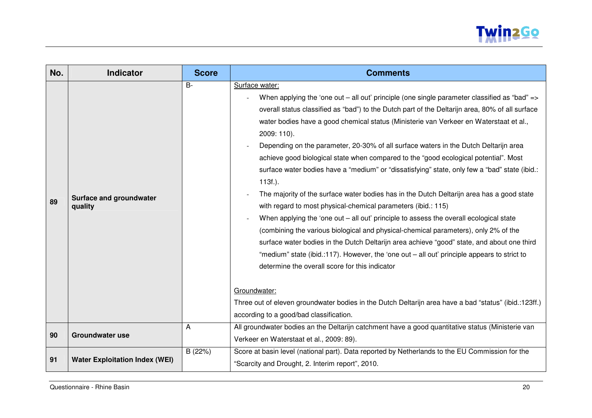

| No. | <b>Indicator</b>                                                                                     | <b>Score</b> | <b>Comments</b>                                                                                                                                                                                                                                                                                                                                                                                                                                                                                                                                                                                                                                                                                                                                                                                                                                                                                                                                                                                                                                                                                                                                                                                                                                                                                                                                  |  |
|-----|------------------------------------------------------------------------------------------------------|--------------|--------------------------------------------------------------------------------------------------------------------------------------------------------------------------------------------------------------------------------------------------------------------------------------------------------------------------------------------------------------------------------------------------------------------------------------------------------------------------------------------------------------------------------------------------------------------------------------------------------------------------------------------------------------------------------------------------------------------------------------------------------------------------------------------------------------------------------------------------------------------------------------------------------------------------------------------------------------------------------------------------------------------------------------------------------------------------------------------------------------------------------------------------------------------------------------------------------------------------------------------------------------------------------------------------------------------------------------------------|--|
| 89  | Surface and groundwater<br>quality                                                                   | $B -$        | Surface water:<br>When applying the 'one out – all out' principle (one single parameter classified as "bad" =><br>overall status classified as "bad") to the Dutch part of the Deltarijn area, 80% of all surface<br>water bodies have a good chemical status (Ministerie van Verkeer en Waterstaat et al.,<br>2009: 110).<br>Depending on the parameter, 20-30% of all surface waters in the Dutch Deltarijn area<br>achieve good biological state when compared to the "good ecological potential". Most<br>surface water bodies have a "medium" or "dissatisfying" state, only few a "bad" state (ibid.:<br>$113f.$ ).<br>The majority of the surface water bodies has in the Dutch Deltarijn area has a good state<br>with regard to most physical-chemical parameters (ibid.: 115)<br>When applying the 'one out - all out' principle to assess the overall ecological state<br>(combining the various biological and physical-chemical parameters), only 2% of the<br>surface water bodies in the Dutch Deltarijn area achieve "good" state, and about one third<br>"medium" state (ibid.:117). However, the 'one out - all out' principle appears to strict to<br>determine the overall score for this indicator<br>Groundwater:<br>Three out of eleven groundwater bodies in the Dutch Deltarijn area have a bad "status" (ibid.:123ff.) |  |
|     |                                                                                                      |              | according to a good/bad classification.                                                                                                                                                                                                                                                                                                                                                                                                                                                                                                                                                                                                                                                                                                                                                                                                                                                                                                                                                                                                                                                                                                                                                                                                                                                                                                          |  |
| 90  | <b>Groundwater use</b>                                                                               | А            | All groundwater bodies an the Deltarijn catchment have a good quantitative status (Ministerie van<br>Verkeer en Waterstaat et al., 2009: 89).                                                                                                                                                                                                                                                                                                                                                                                                                                                                                                                                                                                                                                                                                                                                                                                                                                                                                                                                                                                                                                                                                                                                                                                                    |  |
| 91  | B (22%)<br><b>Water Exploitation Index (WEI)</b><br>"Scarcity and Drought, 2. Interim report", 2010. |              | Score at basin level (national part). Data reported by Netherlands to the EU Commission for the                                                                                                                                                                                                                                                                                                                                                                                                                                                                                                                                                                                                                                                                                                                                                                                                                                                                                                                                                                                                                                                                                                                                                                                                                                                  |  |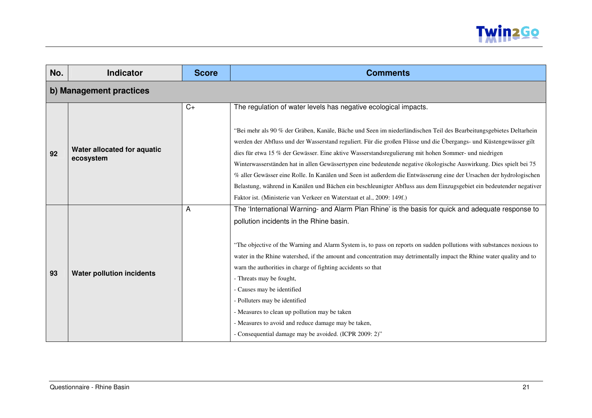

| No. | <b>Indicator</b>                         | <b>Score</b> | <b>Comments</b>                                                                                                                                                                                                                                                                                                                                                                                                                                                                                                                                                                                                                                                                                                                                                                                |  |  |  |
|-----|------------------------------------------|--------------|------------------------------------------------------------------------------------------------------------------------------------------------------------------------------------------------------------------------------------------------------------------------------------------------------------------------------------------------------------------------------------------------------------------------------------------------------------------------------------------------------------------------------------------------------------------------------------------------------------------------------------------------------------------------------------------------------------------------------------------------------------------------------------------------|--|--|--|
|     | b) Management practices                  |              |                                                                                                                                                                                                                                                                                                                                                                                                                                                                                                                                                                                                                                                                                                                                                                                                |  |  |  |
| 92  | Water allocated for aquatic<br>ecosystem | $C+$         | The regulation of water levels has negative ecological impacts.                                                                                                                                                                                                                                                                                                                                                                                                                                                                                                                                                                                                                                                                                                                                |  |  |  |
|     |                                          |              | "Bei mehr als 90 % der Gräben, Kanäle, Bäche und Seen im niederländischen Teil des Bearbeitungsgebietes Deltarhein<br>werden der Abfluss und der Wasserstand reguliert. Für die großen Flüsse und die Übergangs- und Küstengewässer gilt<br>dies für etwa 15 % der Gewässer. Eine aktive Wasserstandsregulierung mit hohen Sommer- und niedrigen<br>Winterwasserständen hat in allen Gewässertypen eine bedeutende negative ökologische Auswirkung. Dies spielt bei 75<br>% aller Gewässer eine Rolle. In Kanälen und Seen ist außerdem die Entwässerung eine der Ursachen der hydrologischen<br>Belastung, während in Kanälen und Bächen ein beschleunigter Abfluss aus dem Einzugsgebiet ein bedeutender negativer<br>Faktor ist. (Ministerie van Verkeer en Waterstaat et al., 2009: 149f.) |  |  |  |
| 93  | <b>Water pollution incidents</b>         | A            | The 'International Warning- and Alarm Plan Rhine' is the basis for quick and adequate response to<br>pollution incidents in the Rhine basin.                                                                                                                                                                                                                                                                                                                                                                                                                                                                                                                                                                                                                                                   |  |  |  |
|     |                                          |              | "The objective of the Warning and Alarm System is, to pass on reports on sudden pollutions with substances noxious to<br>water in the Rhine watershed, if the amount and concentration may detrimentally impact the Rhine water quality and to<br>warn the authorities in charge of fighting accidents so that<br>- Threats may be fought,<br>- Causes may be identified<br>- Polluters may be identified<br>- Measures to clean up pollution may be taken<br>- Measures to avoid and reduce damage may be taken,<br>- Consequential damage may be avoided. (ICPR 2009: 2)"                                                                                                                                                                                                                    |  |  |  |